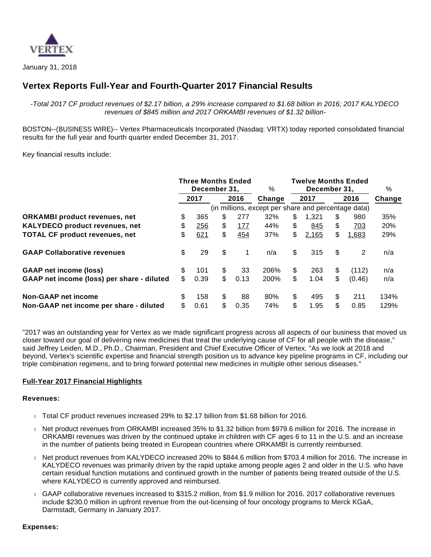

January 31, 2018

# **Vertex Reports Full-Year and Fourth-Quarter 2017 Financial Results**

-Total 2017 CF product revenues of \$2.17 billion, a 29% increase compared to \$1.68 billion in 2016; 2017 KALYDECO revenues of \$845 million and 2017 ORKAMBI revenues of \$1.32 billion-

BOSTON--(BUSINESS WIRE)-- Vertex Pharmaceuticals Incorporated (Nasdaq: VRTX) today reported consolidated financial results for the full year and fourth quarter ended December 31, 2017.

Key financial results include:

|                                                                       | <b>Three Months Ended</b><br>December 31. |             |  | %        | <b>Twelve Months Ended</b><br>December 31. |                                                     |          |             | %        |             |              |
|-----------------------------------------------------------------------|-------------------------------------------|-------------|--|----------|--------------------------------------------|-----------------------------------------------------|----------|-------------|----------|-------------|--------------|
|                                                                       |                                           | 2017        |  |          | 2016                                       | Change                                              |          | 2017        |          | 2016        | Change       |
|                                                                       |                                           |             |  |          |                                            | (in millions, except per share and percentage data) |          |             |          |             |              |
| <b>ORKAMBI</b> product revenues, net                                  | \$                                        | 365         |  | \$       | 277                                        | 32%                                                 | \$       | 1.321       | \$       | 980         | 35%          |
| <b>KALYDECO product revenues, net</b>                                 | \$                                        | 256         |  | \$       | 177                                        | 44%                                                 | \$       | 845         | \$       | 703         | 20%          |
| <b>TOTAL CF product revenues, net</b>                                 | \$                                        | 621         |  | \$       | 454                                        | 37%                                                 | \$       | 2,165       | \$       | 1,683       | 29%          |
| <b>GAAP Collaborative revenues</b>                                    | \$                                        | 29          |  | \$       | 1                                          | n/a                                                 | \$       | 315         | \$       | 2           | n/a          |
| <b>GAAP net income (loss)</b>                                         | \$                                        | 101         |  | \$       | 33                                         | 206%                                                | \$       | 263         | \$       | (112)       | n/a          |
| GAAP net income (loss) per share - diluted                            | \$                                        | 0.39        |  | \$       | 0.13                                       | 200%                                                | \$       | 1.04        | \$       | (0.46)      | n/a          |
| <b>Non-GAAP net income</b><br>Non-GAAP net income per share - diluted | \$<br>\$                                  | 158<br>0.61 |  | \$<br>\$ | 88<br>0.35                                 | 80%<br>74%                                          | \$<br>\$ | 495<br>1.95 | \$<br>\$ | 211<br>0.85 | 134%<br>129% |

"2017 was an outstanding year for Vertex as we made significant progress across all aspects of our business that moved us closer toward our goal of delivering new medicines that treat the underlying cause of CF for all people with the disease," said Jeffrey Leiden, M.D., Ph.D., Chairman, President and Chief Executive Officer of Vertex. "As we look at 2018 and beyond, Vertex's scientific expertise and financial strength position us to advance key pipeline programs in CF, including our triple combination regimens, and to bring forward potential new medicines in multiple other serious diseases."

# **Full-Year 2017 Financial Highlights**

#### **Revenues:**

- Total CF product revenues increased 29% to \$2.17 billion from \$1.68 billion for 2016.
- Net product revenues from ORKAMBI increased 35% to \$1.32 billion from \$979.6 million for 2016. The increase in ORKAMBI revenues was driven by the continued uptake in children with CF ages 6 to 11 in the U.S. and an increase in the number of patients being treated in European countries where ORKAMBI is currently reimbursed.
- Net product revenues from KALYDECO increased 20% to \$844.6 million from \$703.4 million for 2016. The increase in KALYDECO revenues was primarily driven by the rapid uptake among people ages 2 and older in the U.S. who have certain residual function mutations and continued growth in the number of patients being treated outside of the U.S. where KALYDECO is currently approved and reimbursed.
- GAAP collaborative revenues increased to \$315.2 million, from \$1.9 million for 2016. 2017 collaborative revenues include \$230.0 million in upfront revenue from the out-licensing of four oncology programs to Merck KGaA, Darmstadt, Germany in January 2017.

#### **Expenses:**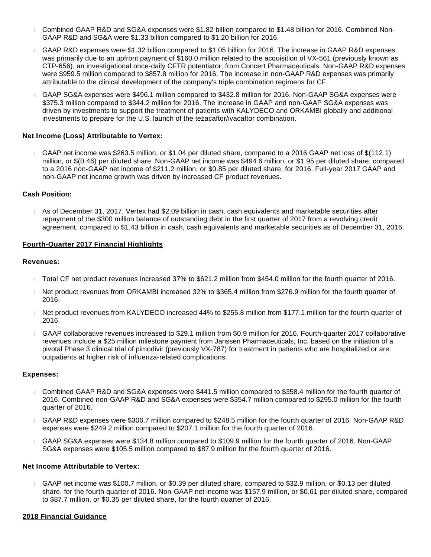- Combined GAAP R&D and SG&A expenses were \$1.82 billion compared to \$1.48 billion for 2016. Combined Non-GAAP R&D and SG&A were \$1.33 billion compared to \$1.20 billion for 2016.
- GAAP R&D expenses were \$1.32 billion compared to \$1.05 billion for 2016. The increase in GAAP R&D expenses was primarily due to an upfront payment of \$160.0 million related to the acquisition of VX-561 (previously known as CTP-656), an investigational once-daily CFTR potentiator, from Concert Pharmaceuticals. Non-GAAP R&D expenses were \$959.5 million compared to \$857.8 million for 2016. The increase in non-GAAP R&D expenses was primarily attributable to the clinical development of the company's triple combination regimens for CF.
- GAAP SG&A expenses were \$496.1 million compared to \$432.8 million for 2016. Non-GAAP SG&A expenses were \$375.3 million compared to \$344.2 million for 2016. The increase in GAAP and non-GAAP SG&A expenses was driven by investments to support the treatment of patients with KALYDECO and ORKAMBI globally and additional investments to prepare for the U.S. launch of the tezacaftor/ivacaftor combination.

# **Net Income (Loss) Attributable to Vertex:**

 GAAP net income was \$263.5 million, or \$1.04 per diluted share, compared to a 2016 GAAP net loss of \$(112.1) million, or \$(0.46) per diluted share. Non-GAAP net income was \$494.6 million, or \$1.95 per diluted share, compared to a 2016 non-GAAP net income of \$211.2 million, or \$0.85 per diluted share, for 2016. Full-year 2017 GAAP and non-GAAP net income growth was driven by increased CF product revenues.

# **Cash Position:**

 As of December 31, 2017, Vertex had \$2.09 billion in cash, cash equivalents and marketable securities after repayment of the \$300 million balance of outstanding debt in the first quarter of 2017 from a revolving credit agreement, compared to \$1.43 billion in cash, cash equivalents and marketable securities as of December 31, 2016.

# **Fourth-Quarter 2017 Financial Highlights**

# **Revenues:**

- Total CF net product revenues increased 37% to \$621.2 million from \$454.0 million for the fourth quarter of 2016.
- Net product revenues from ORKAMBI increased 32% to \$365.4 million from \$276.9 million for the fourth quarter of 2016.
- Net product revenues from KALYDECO increased 44% to \$255.8 million from \$177.1 million for the fourth quarter of 2016.
- GAAP collaborative revenues increased to \$29.1 million from \$0.9 million for 2016. Fourth-quarter 2017 collaborative revenues include a \$25 million milestone payment from Janssen Pharmaceuticals, Inc. based on the initiation of a pivotal Phase 3 clinical trial of pimodivir (previously VX-787) for treatment in patients who are hospitalized or are outpatients at higher risk of influenza-related complications.

# **Expenses:**

- Combined GAAP R&D and SG&A expenses were \$441.5 million compared to \$358.4 million for the fourth quarter of 2016. Combined non-GAAP R&D and SG&A expenses were \$354.7 million compared to \$295.0 million for the fourth quarter of 2016.
- GAAP R&D expenses were \$306.7 million compared to \$248.5 million for the fourth quarter of 2016. Non-GAAP R&D expenses were \$249.2 million compared to \$207.1 million for the fourth quarter of 2016.
- GAAP SG&A expenses were \$134.8 million compared to \$109.9 million for the fourth quarter of 2016. Non-GAAP SG&A expenses were \$105.5 million compared to \$87.9 million for the fourth quarter of 2016.

# **Net Income Attributable to Vertex:**

 GAAP net income was \$100.7 million, or \$0.39 per diluted share, compared to \$32.9 million, or \$0.13 per diluted share, for the fourth quarter of 2016. Non-GAAP net income was \$157.9 million, or \$0.61 per diluted share, compared to \$87.7 million, or \$0.35 per diluted share, for the fourth quarter of 2016.

# **2018 Financial Guidance**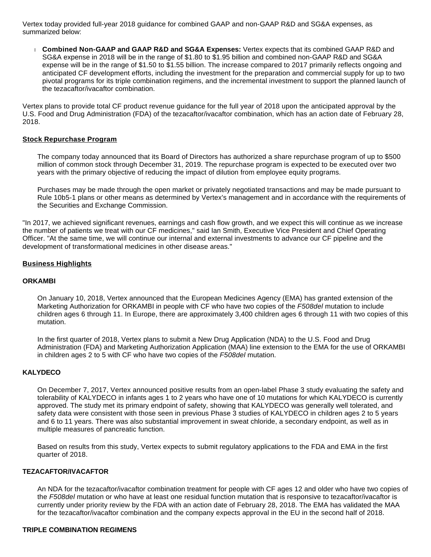Vertex today provided full-year 2018 guidance for combined GAAP and non-GAAP R&D and SG&A expenses, as summarized below:

 **Combined Non-GAAP and GAAP R&D and SG&A Expenses:** Vertex expects that its combined GAAP R&D and SG&A expense in 2018 will be in the range of \$1.80 to \$1.95 billion and combined non-GAAP R&D and SG&A expense will be in the range of \$1.50 to \$1.55 billion. The increase compared to 2017 primarily reflects ongoing and anticipated CF development efforts, including the investment for the preparation and commercial supply for up to two pivotal programs for its triple combination regimens, and the incremental investment to support the planned launch of the tezacaftor/ivacaftor combination.

Vertex plans to provide total CF product revenue guidance for the full year of 2018 upon the anticipated approval by the U.S. Food and Drug Administration (FDA) of the tezacaftor/ivacaftor combination, which has an action date of February 28, 2018.

#### **Stock Repurchase Program**

The company today announced that its Board of Directors has authorized a share repurchase program of up to \$500 million of common stock through December 31, 2019. The repurchase program is expected to be executed over two years with the primary objective of reducing the impact of dilution from employee equity programs.

Purchases may be made through the open market or privately negotiated transactions and may be made pursuant to Rule 10b5-1 plans or other means as determined by Vertex's management and in accordance with the requirements of the Securities and Exchange Commission.

"In 2017, we achieved significant revenues, earnings and cash flow growth, and we expect this will continue as we increase the number of patients we treat with our CF medicines," said Ian Smith, Executive Vice President and Chief Operating Officer. "At the same time, we will continue our internal and external investments to advance our CF pipeline and the development of transformational medicines in other disease areas."

#### **Business Highlights**

#### **ORKAMBI**

On January 10, 2018, Vertex announced that the European Medicines Agency (EMA) has granted extension of the Marketing Authorization for ORKAMBI in people with CF who have two copies of the F508del mutation to include children ages 6 through 11. In Europe, there are approximately 3,400 children ages 6 through 11 with two copies of this mutation.

In the first quarter of 2018, Vertex plans to submit a New Drug Application (NDA) to the U.S. Food and Drug Administration (FDA) and Marketing Authorization Application (MAA) line extension to the EMA for the use of ORKAMBI in children ages 2 to 5 with CF who have two copies of the F508del mutation.

#### **KALYDECO**

On December 7, 2017, Vertex announced positive results from an open-label Phase 3 study evaluating the safety and tolerability of KALYDECO in infants ages 1 to 2 years who have one of 10 mutations for which KALYDECO is currently approved. The study met its primary endpoint of safety, showing that KALYDECO was generally well tolerated, and safety data were consistent with those seen in previous Phase 3 studies of KALYDECO in children ages 2 to 5 years and 6 to 11 years. There was also substantial improvement in sweat chloride, a secondary endpoint, as well as in multiple measures of pancreatic function.

Based on results from this study, Vertex expects to submit regulatory applications to the FDA and EMA in the first quarter of 2018.

# **TEZACAFTOR/IVACAFTOR**

An NDA for the tezacaftor/ivacaftor combination treatment for people with CF ages 12 and older who have two copies of the F508del mutation or who have at least one residual function mutation that is responsive to tezacaftor/ivacaftor is currently under priority review by the FDA with an action date of February 28, 2018. The EMA has validated the MAA for the tezacaftor/ivacaftor combination and the company expects approval in the EU in the second half of 2018.

#### **TRIPLE COMBINATION REGIMENS**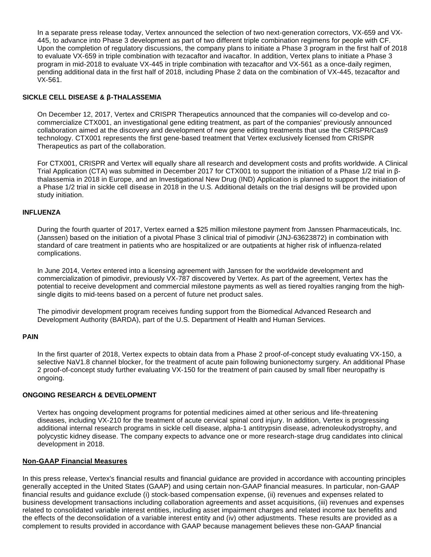In a separate press release today, Vertex announced the selection of two next-generation correctors, VX-659 and VX-445, to advance into Phase 3 development as part of two different triple combination regimens for people with CF. Upon the completion of regulatory discussions, the company plans to initiate a Phase 3 program in the first half of 2018 to evaluate VX-659 in triple combination with tezacaftor and ivacaftor. In addition, Vertex plans to initiate a Phase 3 program in mid-2018 to evaluate VX-445 in triple combination with tezacaftor and VX-561 as a once-daily regimen, pending additional data in the first half of 2018, including Phase 2 data on the combination of VX-445, tezacaftor and VX-561.

# **SICKLE CELL DISEASE & β-THALASSEMIA**

On December 12, 2017, Vertex and CRISPR Therapeutics announced that the companies will co-develop and cocommercialize CTX001, an investigational gene editing treatment, as part of the companies' previously announced collaboration aimed at the discovery and development of new gene editing treatments that use the CRISPR/Cas9 technology. CTX001 represents the first gene-based treatment that Vertex exclusively licensed from CRISPR Therapeutics as part of the collaboration.

For CTX001, CRISPR and Vertex will equally share all research and development costs and profits worldwide. A Clinical Trial Application (CTA) was submitted in December 2017 for CTX001 to support the initiation of a Phase 1/2 trial in βthalassemia in 2018 in Europe, and an Investigational New Drug (IND) Application is planned to support the initiation of a Phase 1/2 trial in sickle cell disease in 2018 in the U.S. Additional details on the trial designs will be provided upon study initiation.

# **INFLUENZA**

During the fourth quarter of 2017, Vertex earned a \$25 million milestone payment from Janssen Pharmaceuticals, Inc. (Janssen) based on the initiation of a pivotal Phase 3 clinical trial of pimodivir (JNJ-63623872) in combination with standard of care treatment in patients who are hospitalized or are outpatients at higher risk of influenza-related complications.

In June 2014, Vertex entered into a licensing agreement with Janssen for the worldwide development and commercialization of pimodivir, previously VX-787 discovered by Vertex. As part of the agreement, Vertex has the potential to receive development and commercial milestone payments as well as tiered royalties ranging from the highsingle digits to mid-teens based on a percent of future net product sales.

The pimodivir development program receives funding support from the Biomedical Advanced Research and Development Authority (BARDA), part of the U.S. Department of Health and Human Services.

# **PAIN**

In the first quarter of 2018, Vertex expects to obtain data from a Phase 2 proof-of-concept study evaluating VX-150, a selective NaV1.8 channel blocker, for the treatment of acute pain following bunionectomy surgery. An additional Phase 2 proof-of-concept study further evaluating VX-150 for the treatment of pain caused by small fiber neuropathy is ongoing.

# **ONGOING RESEARCH & DEVELOPMENT**

Vertex has ongoing development programs for potential medicines aimed at other serious and life-threatening diseases, including VX-210 for the treatment of acute cervical spinal cord injury. In addition, Vertex is progressing additional internal research programs in sickle cell disease, alpha-1 antitrypsin disease, adrenoleukodystrophy, and polycystic kidney disease. The company expects to advance one or more research-stage drug candidates into clinical development in 2018.

# **Non-GAAP Financial Measures**

In this press release, Vertex's financial results and financial guidance are provided in accordance with accounting principles generally accepted in the United States (GAAP) and using certain non-GAAP financial measures. In particular, non-GAAP financial results and guidance exclude (i) stock-based compensation expense, (ii) revenues and expenses related to business development transactions including collaboration agreements and asset acquisitions, (iii) revenues and expenses related to consolidated variable interest entities, including asset impairment charges and related income tax benefits and the effects of the deconsolidation of a variable interest entity and (iv) other adjustments. These results are provided as a complement to results provided in accordance with GAAP because management believes these non-GAAP financial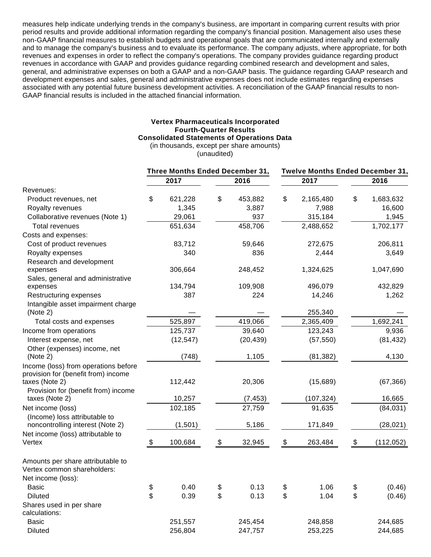measures help indicate underlying trends in the company's business, are important in comparing current results with prior period results and provide additional information regarding the company's financial position. Management also uses these non-GAAP financial measures to establish budgets and operational goals that are communicated internally and externally and to manage the company's business and to evaluate its performance. The company adjusts, where appropriate, for both revenues and expenses in order to reflect the company's operations. The company provides guidance regarding product revenues in accordance with GAAP and provides guidance regarding combined research and development and sales, general, and administrative expenses on both a GAAP and a non-GAAP basis. The guidance regarding GAAP research and development expenses and sales, general and administrative expenses does not include estimates regarding expenses associated with any potential future business development activities. A reconciliation of the GAAP financial results to non-GAAP financial results is included in the attached financial information.

#### **Vertex Pharmaceuticals Incorporated Fourth-Quarter Results Consolidated Statements of Operations Data**

(in thousands, except per share amounts)

(unaudited)

|                                      | Three Months Ended December 31, |           |               | Twelve Months Ended December 31, |            |    |            |
|--------------------------------------|---------------------------------|-----------|---------------|----------------------------------|------------|----|------------|
|                                      |                                 | 2017      | 2016          |                                  | 2017       |    | 2016       |
| Revenues:                            |                                 |           |               |                                  |            |    |            |
| Product revenues, net                | \$                              | 621,228   | \$<br>453,882 | \$                               | 2,165,480  | \$ | 1,683,632  |
| Royalty revenues                     |                                 | 1,345     | 3,887         |                                  | 7,988      |    | 16,600     |
| Collaborative revenues (Note 1)      |                                 | 29,061    | 937           |                                  | 315,184    |    | 1,945      |
| <b>Total revenues</b>                |                                 | 651,634   | 458,706       |                                  | 2,488,652  |    | 1,702,177  |
| Costs and expenses:                  |                                 |           |               |                                  |            |    |            |
| Cost of product revenues             |                                 | 83,712    | 59,646        |                                  | 272,675    |    | 206,811    |
| Royalty expenses                     |                                 | 340       | 836           |                                  | 2,444      |    | 3,649      |
| Research and development             |                                 |           |               |                                  |            |    |            |
| expenses                             |                                 | 306,664   | 248,452       |                                  | 1,324,625  |    | 1,047,690  |
| Sales, general and administrative    |                                 |           |               |                                  |            |    |            |
| expenses                             |                                 | 134,794   | 109,908       |                                  | 496,079    |    | 432,829    |
| Restructuring expenses               |                                 | 387       | 224           |                                  | 14,246     |    | 1,262      |
| Intangible asset impairment charge   |                                 |           |               |                                  |            |    |            |
| (Note 2)                             |                                 |           |               |                                  | 255,340    |    |            |
| Total costs and expenses             |                                 | 525,897   | 419,066       |                                  | 2,365,409  |    | 1,692,241  |
| Income from operations               |                                 | 125,737   | 39,640        |                                  | 123,243    |    | 9,936      |
| Interest expense, net                |                                 | (12, 547) | (20, 439)     |                                  | (57, 550)  |    | (81, 432)  |
| Other (expenses) income, net         |                                 |           |               |                                  |            |    |            |
| (Note 2)                             |                                 | (748)     | 1,105         |                                  | (81, 382)  |    | 4,130      |
| Income (loss) from operations before |                                 |           |               |                                  |            |    |            |
| provision for (benefit from) income  |                                 |           |               |                                  |            |    |            |
| taxes (Note 2)                       |                                 | 112,442   | 20,306        |                                  | (15,689)   |    | (67, 366)  |
| Provision for (benefit from) income  |                                 |           |               |                                  |            |    |            |
| taxes (Note 2)                       |                                 | 10,257    | (7, 453)      |                                  | (107, 324) |    | 16,665     |
| Net income (loss)                    |                                 | 102,185   | 27,759        |                                  | 91,635     |    | (84, 031)  |
| (Income) loss attributable to        |                                 |           |               |                                  |            |    |            |
| noncontrolling interest (Note 2)     |                                 | (1,501)   | 5,186         |                                  | 171,849    |    | (28, 021)  |
| Net income (loss) attributable to    |                                 |           |               |                                  |            |    |            |
| Vertex                               | $\boldsymbol{\theta}$           | 100,684   | \$<br>32,945  | \$                               | 263,484    | \$ | (112, 052) |
| Amounts per share attributable to    |                                 |           |               |                                  |            |    |            |
| Vertex common shareholders:          |                                 |           |               |                                  |            |    |            |
| Net income (loss):                   |                                 |           |               |                                  |            |    |            |
| Basic                                | \$                              | 0.40      | \$<br>0.13    | \$                               | 1.06       | \$ | (0.46)     |
| <b>Diluted</b>                       | \$                              | 0.39      | \$<br>0.13    | \$                               | 1.04       | \$ | (0.46)     |
| Shares used in per share             |                                 |           |               |                                  |            |    |            |
| calculations:                        |                                 |           |               |                                  |            |    |            |
| <b>Basic</b>                         |                                 | 251,557   | 245,454       |                                  | 248,858    |    | 244,685    |
| <b>Diluted</b>                       |                                 | 256,804   | 247,757       |                                  | 253,225    |    | 244,685    |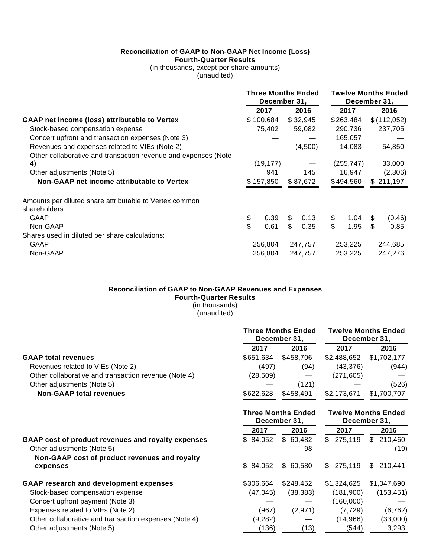# **Reconciliation of GAAP to Non-GAAP Net Income (Loss) Fourth-Quarter Results**

(in thousands, except per share amounts) (unaudited)

|                                                                          | <b>Three Months Ended</b><br>December 31, |           |         | <b>Twelve Months Ended</b><br>December 31, |         |            |         |             |
|--------------------------------------------------------------------------|-------------------------------------------|-----------|---------|--------------------------------------------|---------|------------|---------|-------------|
|                                                                          |                                           | 2017      |         | 2016                                       |         | 2017       |         | 2016        |
| GAAP net income (loss) attributable to Vertex                            |                                           | \$100,684 |         | \$32,945                                   |         | \$263,484  |         | \$(112,052) |
| Stock-based compensation expense                                         |                                           | 75,402    |         | 59,082                                     |         | 290,736    |         | 237,705     |
| Concert upfront and transaction expenses (Note 3)                        |                                           |           |         |                                            | 165,057 |            |         |             |
| Revenues and expenses related to VIEs (Note 2)                           |                                           |           | (4,500) |                                            | 14,083  |            |         | 54,850      |
| Other collaborative and transaction revenue and expenses (Note           |                                           |           |         |                                            |         |            |         |             |
| 4)                                                                       |                                           | (19, 177) |         |                                            |         | (255, 747) |         | 33,000      |
| Other adjustments (Note 5)                                               |                                           | 941       |         | 145                                        |         | 16,947     |         | (2,306)     |
| Non-GAAP net income attributable to Vertex                               |                                           | \$157,850 |         | \$87,672                                   |         | \$494,560  |         | \$211,197   |
| Amounts per diluted share attributable to Vertex common<br>shareholders: |                                           |           |         |                                            |         |            |         |             |
| GAAP                                                                     | \$                                        | 0.39      | \$      | 0.13                                       | \$      | 1.04       | S       | (0.46)      |
| Non-GAAP                                                                 | \$                                        | 0.61      | \$      | 0.35                                       | \$      | 1.95       | \$      | 0.85        |
| Shares used in diluted per share calculations:                           |                                           |           |         |                                            |         |            |         |             |
| GAAP                                                                     |                                           | 256,804   | 247,757 |                                            | 253,225 |            | 244,685 |             |
| Non-GAAP                                                                 | 256,804                                   |           | 247,757 |                                            | 253,225 |            | 247,276 |             |

# **Reconciliation of GAAP to Non-GAAP Revenues and Expenses Fourth-Quarter Results**

(in thousands) (unaudited)

|                                                      |           | <b>Three Months Ended</b><br>December 31, |             | <b>Twelve Months Ended</b><br>December 31, |
|------------------------------------------------------|-----------|-------------------------------------------|-------------|--------------------------------------------|
|                                                      | 2017      | 2016                                      | 2017        | 2016                                       |
| <b>GAAP total revenues</b>                           | \$651,634 | \$458.706                                 | \$2,488,652 | \$1,702,177                                |
| Revenues related to VIEs (Note 2)                    | (497)     | (94)                                      | (43, 376)   | (944)                                      |
| Other collaborative and transaction revenue (Note 4) | (28, 509) |                                           | (271, 605)  |                                            |
| Other adjustments (Note 5)                           |           | (121)                                     |             | (526)                                      |
| <b>Non-GAAP total revenues</b>                       | \$622,628 | \$458,491                                 | \$2,173,671 | \$1,700,707                                |

**Three Months Ended**

**Twelve Months Ended**

|                                                           |           | December 31. | December 31.  |                |  |  |
|-----------------------------------------------------------|-----------|--------------|---------------|----------------|--|--|
|                                                           | 2017      | 2016         | 2017          | 2016           |  |  |
| GAAP cost of product revenues and royalty expenses        | \$84,052  | \$60,482     | 275,119<br>\$ | 210,460<br>\$. |  |  |
| Other adjustments (Note 5)                                |           | 98           |               | (19)           |  |  |
| Non-GAAP cost of product revenues and royalty<br>expenses | \$84,052  | \$60,580     | \$275.119     | \$210.441      |  |  |
| <b>GAAP research and development expenses</b>             | \$306.664 | \$248,452    | \$1,324,625   | \$1,047,690    |  |  |
| Stock-based compensation expense                          | (47.045)  | (38, 383)    | (181.900)     | (153, 451)     |  |  |
| Concert upfront payment (Note 3)                          |           |              | (160,000)     |                |  |  |
| Expenses related to VIEs (Note 2)                         | (967)     | (2,971)      | (7, 729)      | (6, 762)       |  |  |
| Other collaborative and transaction expenses (Note 4)     | (9,282)   |              | (14, 966)     | (33,000)       |  |  |
| Other adjustments (Note 5)                                | (136)     | (13)         | (544)         | 3,293          |  |  |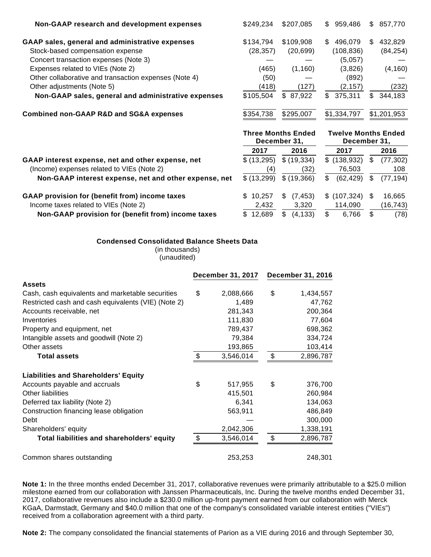| Non-GAAP research and development expenses             | \$249.234 | \$207,085 | 959,486<br>S.  | S<br>857,770 |
|--------------------------------------------------------|-----------|-----------|----------------|--------------|
| GAAP sales, general and administrative expenses        | \$134,794 | \$109,908 | 496,079<br>\$. | 432.829<br>S |
| Stock-based compensation expense                       | (28, 357) | (20, 699) | (108, 836)     | (84, 254)    |
| Concert transaction expenses (Note 3)                  |           |           | (5,057)        |              |
| Expenses related to VIEs (Note 2)                      | (465)     | (1,160)   | (3,826)        | (4, 160)     |
| Other collaborative and transaction expenses (Note 4)  | (50)      |           | (892)          |              |
| Other adjustments (Note 5)                             | (418)     | (127)     | (2, 157)       | (232)        |
| Non-GAAP sales, general and administrative expenses    | \$105.504 | \$ 87.922 | 375,311<br>\$  | 344,183<br>S |
| <b>Combined non-GAAP R&amp;D and SG&amp;A expenses</b> | \$354,738 | \$295,007 | \$1,334,797    | \$1,201,953  |

|                                                       |             | <b>Three Months Ended</b><br>December 31. | December 31.   | <b>Twelve Months Ended</b> |  |
|-------------------------------------------------------|-------------|-------------------------------------------|----------------|----------------------------|--|
|                                                       | 2017        | 2016                                      | 2017           | 2016                       |  |
| GAAP interest expense, net and other expense, net     | \$(13,295)  | \$ (19,334)                               | \$(138,932)    | (77, 302)<br>æ.            |  |
| (Income) expenses related to VIEs (Note 2)            | (4)         | (32)                                      | 76.503         | 108                        |  |
| Non-GAAP interest expense, net and other expense, net | \$ (13,299) | \$(19,366)                                | (62, 429)<br>S | (77,194)                   |  |
| GAAP provision for (benefit from) income taxes        | \$10,257    | (7,453)                                   | \$(107, 324)   | 16,665<br>S                |  |
| Income taxes related to VIEs (Note 2)                 | 2,432       | 3,320                                     | 114.090        | (16,743)                   |  |
| Non-GAAP provision for (benefit from) income taxes    | \$12.689    | (4, 133)                                  | 6.766          | (78)<br>SS.                |  |

# **Condensed Consolidated Balance Sheets Data**

(in thousands) (unaudited)

|                                                     | <b>December 31, 2017</b> |           | <b>December 31, 2016</b> |
|-----------------------------------------------------|--------------------------|-----------|--------------------------|
| <b>Assets</b>                                       |                          |           |                          |
| Cash, cash equivalents and marketable securities    | \$                       | 2,088,666 | \$<br>1,434,557          |
| Restricted cash and cash equivalents (VIE) (Note 2) |                          | 1,489     | 47,762                   |
| Accounts receivable, net                            |                          | 281,343   | 200,364                  |
| Inventories                                         |                          | 111,830   | 77,604                   |
| Property and equipment, net                         |                          | 789,437   | 698,362                  |
| Intangible assets and goodwill (Note 2)             |                          | 79,384    | 334,724                  |
| Other assets                                        |                          | 193,865   | 103,414                  |
| <b>Total assets</b>                                 | \$                       | 3,546,014 | \$<br>2,896,787          |
| <b>Liabilities and Shareholders' Equity</b>         |                          |           |                          |
| Accounts payable and accruals                       | \$                       | 517,955   | \$<br>376,700            |
| Other liabilities                                   |                          | 415,501   | 260,984                  |
| Deferred tax liability (Note 2)                     |                          | 6,341     | 134,063                  |
| Construction financing lease obligation             |                          | 563,911   | 486,849                  |
| Debt                                                |                          |           | 300,000                  |
| Shareholders' equity                                |                          | 2,042,306 | 1,338,191                |
| Total liabilities and shareholders' equity          | \$                       | 3,546,014 | \$<br>2,896,787          |
| Common shares outstanding                           |                          | 253,253   | 248,301                  |

**Note 1:** In the three months ended December 31, 2017, collaborative revenues were primarily attributable to a \$25.0 million milestone earned from our collaboration with Janssen Pharmaceuticals, Inc. During the twelve months ended December 31, 2017, collaborative revenues also include a \$230.0 million up-front payment earned from our collaboration with Merck KGaA, Darmstadt, Germany and \$40.0 million that one of the company's consolidated variable interest entities ("VIEs") received from a collaboration agreement with a third party.

**Note 2:** The company consolidated the financial statements of Parion as a VIE during 2016 and through September 30,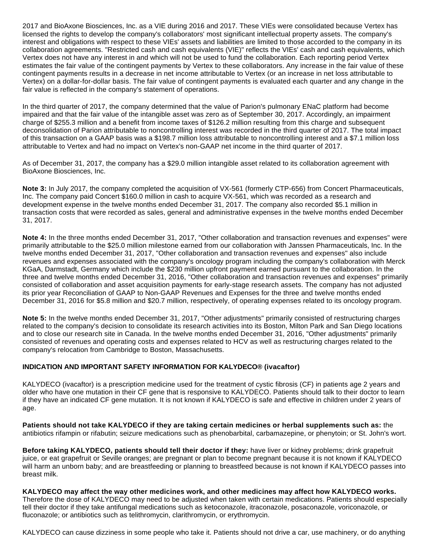2017 and BioAxone Biosciences, Inc. as a VIE during 2016 and 2017. These VIEs were consolidated because Vertex has licensed the rights to develop the company's collaborators' most significant intellectual property assets. The company's interest and obligations with respect to these VIEs' assets and liabilities are limited to those accorded to the company in its collaboration agreements. "Restricted cash and cash equivalents (VIE)" reflects the VIEs' cash and cash equivalents, which Vertex does not have any interest in and which will not be used to fund the collaboration. Each reporting period Vertex estimates the fair value of the contingent payments by Vertex to these collaborators. Any increase in the fair value of these contingent payments results in a decrease in net income attributable to Vertex (or an increase in net loss attributable to Vertex) on a dollar-for-dollar basis. The fair value of contingent payments is evaluated each quarter and any change in the fair value is reflected in the company's statement of operations.

In the third quarter of 2017, the company determined that the value of Parion's pulmonary ENaC platform had become impaired and that the fair value of the intangible asset was zero as of September 30, 2017. Accordingly, an impairment charge of \$255.3 million and a benefit from income taxes of \$126.2 million resulting from this charge and subsequent deconsolidation of Parion attributable to noncontrolling interest was recorded in the third quarter of 2017. The total impact of this transaction on a GAAP basis was a \$198.7 million loss attributable to noncontrolling interest and a \$7.1 million loss attributable to Vertex and had no impact on Vertex's non-GAAP net income in the third quarter of 2017.

As of December 31, 2017, the company has a \$29.0 million intangible asset related to its collaboration agreement with BioAxone Biosciences, Inc.

**Note 3:** In July 2017, the company completed the acquisition of VX-561 (formerly CTP-656) from Concert Pharmaceuticals, Inc. The company paid Concert \$160.0 million in cash to acquire VX-561, which was recorded as a research and development expense in the twelve months ended December 31, 2017. The company also recorded \$5.1 million in transaction costs that were recorded as sales, general and administrative expenses in the twelve months ended December 31, 2017.

**Note 4:** In the three months ended December 31, 2017, "Other collaboration and transaction revenues and expenses" were primarily attributable to the \$25.0 million milestone earned from our collaboration with Janssen Pharmaceuticals, Inc. In the twelve months ended December 31, 2017, "Other collaboration and transaction revenues and expenses" also include revenues and expenses associated with the company's oncology program including the company's collaboration with Merck KGaA, Darmstadt, Germany which include the \$230 million upfront payment earned pursuant to the collaboration. In the three and twelve months ended December 31, 2016, "Other collaboration and transaction revenues and expenses" primarily consisted of collaboration and asset acquisition payments for early-stage research assets. The company has not adjusted its prior year Reconciliation of GAAP to Non-GAAP Revenues and Expenses for the three and twelve months ended December 31, 2016 for \$5.8 million and \$20.7 million, respectively, of operating expenses related to its oncology program.

**Note 5:** In the twelve months ended December 31, 2017, "Other adjustments" primarily consisted of restructuring charges related to the company's decision to consolidate its research activities into its Boston, Milton Park and San Diego locations and to close our research site in Canada. In the twelve months ended December 31, 2016, "Other adjustments" primarily consisted of revenues and operating costs and expenses related to HCV as well as restructuring charges related to the company's relocation from Cambridge to Boston, Massachusetts.

# **INDICATION AND IMPORTANT SAFETY INFORMATION FOR KALYDECO® (ivacaftor)**

KALYDECO (ivacaftor) is a prescription medicine used for the treatment of cystic fibrosis (CF) in patients age 2 years and older who have one mutation in their CF gene that is responsive to KALYDECO. Patients should talk to their doctor to learn if they have an indicated CF gene mutation. It is not known if KALYDECO is safe and effective in children under 2 years of age.

**Patients should not take KALYDECO if they are taking certain medicines or herbal supplements such as:** the antibiotics rifampin or rifabutin; seizure medications such as phenobarbital, carbamazepine, or phenytoin; or St. John's wort.

**Before taking KALYDECO, patients should tell their doctor if they:** have liver or kidney problems; drink grapefruit juice, or eat grapefruit or Seville oranges; are pregnant or plan to become pregnant because it is not known if KALYDECO will harm an unborn baby; and are breastfeeding or planning to breastfeed because is not known if KALYDECO passes into breast milk.

**KALYDECO may affect the way other medicines work, and other medicines may affect how KALYDECO works.** Therefore the dose of KALYDECO may need to be adjusted when taken with certain medications. Patients should especially tell their doctor if they take antifungal medications such as ketoconazole, itraconazole, posaconazole, voriconazole, or fluconazole; or antibiotics such as telithromycin, clarithromycin, or erythromycin.

KALYDECO can cause dizziness in some people who take it. Patients should not drive a car, use machinery, or do anything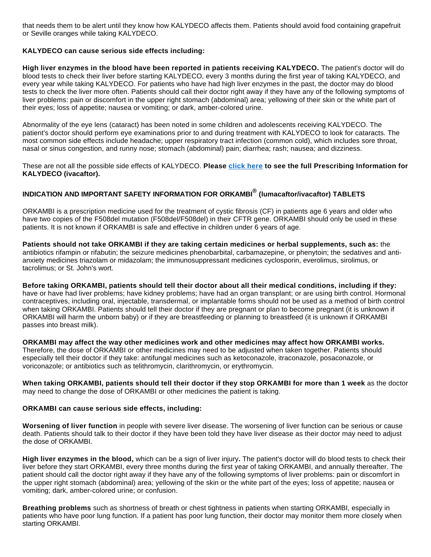that needs them to be alert until they know how KALYDECO affects them. Patients should avoid food containing grapefruit or Seville oranges while taking KALYDECO.

# **KALYDECO can cause serious side effects including:**

**High liver enzymes in the blood have been reported in patients receiving KALYDECO.** The patient's doctor will do blood tests to check their liver before starting KALYDECO, every 3 months during the first year of taking KALYDECO, and every year while taking KALYDECO. For patients who have had high liver enzymes in the past, the doctor may do blood tests to check the liver more often. Patients should call their doctor right away if they have any of the following symptoms of liver problems: pain or discomfort in the upper right stomach (abdominal) area; yellowing of their skin or the white part of their eyes; loss of appetite; nausea or vomiting; or dark, amber-colored urine.

Abnormality of the eye lens (cataract) has been noted in some children and adolescents receiving KALYDECO. The patient's doctor should perform eye examinations prior to and during treatment with KALYDECO to look for cataracts. The most common side effects include headache; upper respiratory tract infection (common cold), which includes sore throat, nasal or sinus congestion, and runny nose; stomach (abdominal) pain; diarrhea; rash; nausea; and dizziness.

These are not all the possible side effects of KALYDECO. **Please [click here](http://cts.businesswire.com/ct/CT?id=smartlink&url=http%3A%2F%2Fpi.vrtx.com%2Ffiles%2Fuspi_ivacaftor.pdf&esheet=51751589&newsitemid=20180131006107&lan=en-US&anchor=click+here&index=1&md5=c43d0229377c85bbad20dd5667ea0d03) to see the full Prescribing Information for KALYDECO (ivacaftor).**

# **INDICATION AND IMPORTANT SAFETY INFORMATION FOR ORKAMBI® (lumacaftor/ivacaftor) TABLETS**

ORKAMBI is a prescription medicine used for the treatment of cystic fibrosis (CF) in patients age 6 years and older who have two copies of the F508del mutation (F508del/F508del) in their CFTR gene. ORKAMBI should only be used in these patients. It is not known if ORKAMBI is safe and effective in children under 6 years of age.

**Patients should not take ORKAMBI if they are taking certain medicines or herbal supplements, such as:** the antibiotics rifampin or rifabutin; the seizure medicines phenobarbital, carbamazepine, or phenytoin; the sedatives and antianxiety medicines triazolam or midazolam; the immunosuppressant medicines cyclosporin, everolimus, sirolimus, or tacrolimus; or St. John's wort.

**Before taking ORKAMBI, patients should tell their doctor about all their medical conditions, including if they:**  have or have had liver problems; have kidney problems; have had an organ transplant; or are using birth control. Hormonal contraceptives, including oral, injectable, transdermal, or implantable forms should not be used as a method of birth control when taking ORKAMBI. Patients should tell their doctor if they are pregnant or plan to become pregnant (it is unknown if ORKAMBI will harm the unborn baby) or if they are breastfeeding or planning to breastfeed (it is unknown if ORKAMBI passes into breast milk).

**ORKAMBI may affect the way other medicines work and other medicines may affect how ORKAMBI works.** Therefore, the dose of ORKAMBI or other medicines may need to be adjusted when taken together. Patients should especially tell their doctor if they take: antifungal medicines such as ketoconazole, itraconazole, posaconazole, or voriconazole; or antibiotics such as telithromycin, clarithromycin, or erythromycin.

**When taking ORKAMBI, patients should tell their doctor if they stop ORKAMBI for more than 1 week** as the doctor may need to change the dose of ORKAMBI or other medicines the patient is taking.

# **ORKAMBI can cause serious side effects, including:**

**Worsening of liver function** in people with severe liver disease. The worsening of liver function can be serious or cause death. Patients should talk to their doctor if they have been told they have liver disease as their doctor may need to adjust the dose of ORKAMBI.

**High liver enzymes in the blood,** which can be a sign of liver injury**.** The patient's doctor will do blood tests to check their liver before they start ORKAMBI, every three months during the first year of taking ORKAMBI, and annually thereafter. The patient should call the doctor right away if they have any of the following symptoms of liver problems: pain or discomfort in the upper right stomach (abdominal) area; yellowing of the skin or the white part of the eyes; loss of appetite; nausea or vomiting; dark, amber-colored urine; or confusion.

**Breathing problems** such as shortness of breath or chest tightness in patients when starting ORKAMBI, especially in patients who have poor lung function. If a patient has poor lung function, their doctor may monitor them more closely when starting ORKAMBI.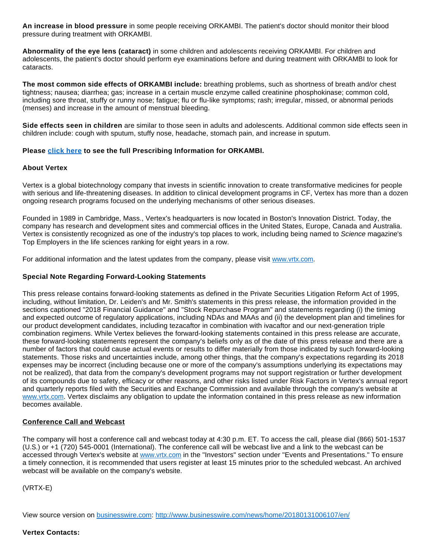**An increase in blood pressure** in some people receiving ORKAMBI. The patient's doctor should monitor their blood pressure during treatment with ORKAMBI.

**Abnormality of the eye lens (cataract)** in some children and adolescents receiving ORKAMBI. For children and adolescents, the patient's doctor should perform eye examinations before and during treatment with ORKAMBI to look for cataracts.

**The most common side effects of ORKAMBI include:** breathing problems, such as shortness of breath and/or chest tightness; nausea; diarrhea; gas; increase in a certain muscle enzyme called creatinine phosphokinase; common cold, including sore throat, stuffy or runny nose; fatigue; flu or flu-like symptoms; rash; irregular, missed, or abnormal periods (menses) and increase in the amount of menstrual bleeding.

**Side effects seen in children** are similar to those seen in adults and adolescents. Additional common side effects seen in children include: cough with sputum, stuffy nose, headache, stomach pain, and increase in sputum.

# **Please [click here](http://cts.businesswire.com/ct/CT?id=smartlink&url=http%3A%2F%2Fpi.vrtx.com%2Ffiles%2Fuspi_lumacaftor_ivacaftor.pdf&esheet=51751589&newsitemid=20180131006107&lan=en-US&anchor=click+here&index=2&md5=b4e74c157a913b1f598b9564a36ddc5b) to see the full Prescribing Information for ORKAMBI.**

# **About Vertex**

Vertex is a global biotechnology company that invests in scientific innovation to create transformative medicines for people with serious and life-threatening diseases. In addition to clinical development programs in CF, Vertex has more than a dozen ongoing research programs focused on the underlying mechanisms of other serious diseases.

Founded in 1989 in Cambridge, Mass., Vertex's headquarters is now located in Boston's Innovation District. Today, the company has research and development sites and commercial offices in the United States, Europe, Canada and Australia. Vertex is consistently recognized as one of the industry's top places to work, including being named to Science magazine's Top Employers in the life sciences ranking for eight years in a row.

For additional information and the latest updates from the company, please visit [www.vrtx.com](http://cts.businesswire.com/ct/CT?id=smartlink&url=http%3A%2F%2Fwww.vrtx.com&esheet=51751589&newsitemid=20180131006107&lan=en-US&anchor=www.vrtx.com&index=3&md5=a72435062f78ba1785d4e1ae1b5cda96).

# **Special Note Regarding Forward-Looking Statements**

This press release contains forward-looking statements as defined in the Private Securities Litigation Reform Act of 1995, including, without limitation, Dr. Leiden's and Mr. Smith's statements in this press release, the information provided in the sections captioned "2018 Financial Guidance" and "Stock Repurchase Program" and statements regarding (i) the timing and expected outcome of regulatory applications, including NDAs and MAAs and (ii) the development plan and timelines for our product development candidates, including tezacaftor in combination with ivacaftor and our next-generation triple combination regimens. While Vertex believes the forward-looking statements contained in this press release are accurate, these forward-looking statements represent the company's beliefs only as of the date of this press release and there are a number of factors that could cause actual events or results to differ materially from those indicated by such forward-looking statements. Those risks and uncertainties include, among other things, that the company's expectations regarding its 2018 expenses may be incorrect (including because one or more of the company's assumptions underlying its expectations may not be realized), that data from the company's development programs may not support registration or further development of its compounds due to safety, efficacy or other reasons, and other risks listed under Risk Factors in Vertex's annual report and quarterly reports filed with the Securities and Exchange Commission and available through the company's website at [www.vrtx.com](http://cts.businesswire.com/ct/CT?id=smartlink&url=http%3A%2F%2Fwww.vrtx.com&esheet=51751589&newsitemid=20180131006107&lan=en-US&anchor=www.vrtx.com&index=4&md5=335a9b3bdce16d7df1e8704c76a04a14). Vertex disclaims any obligation to update the information contained in this press release as new information becomes available.

# **Conference Call and Webcast**

The company will host a conference call and webcast today at 4:30 p.m. ET. To access the call, please dial (866) 501-1537 (U.S.) or +1 (720) 545-0001 (International). The conference call will be webcast live and a link to the webcast can be accessed through Vertex's website at [www.vrtx.com](http://cts.businesswire.com/ct/CT?id=smartlink&url=http%3A%2F%2Fwww.vrtx.com&esheet=51751589&newsitemid=20180131006107&lan=en-US&anchor=www.vrtx.com&index=5&md5=766a09f137c5dca17fe1fe09579ac1c4) in the "Investors" section under "Events and Presentations." To ensure a timely connection, it is recommended that users register at least 15 minutes prior to the scheduled webcast. An archived webcast will be available on the company's website.

(VRTX-E)

View source version on [businesswire.com](http://businesswire.com/): <http://www.businesswire.com/news/home/20180131006107/en/>

# **Vertex Contacts:**